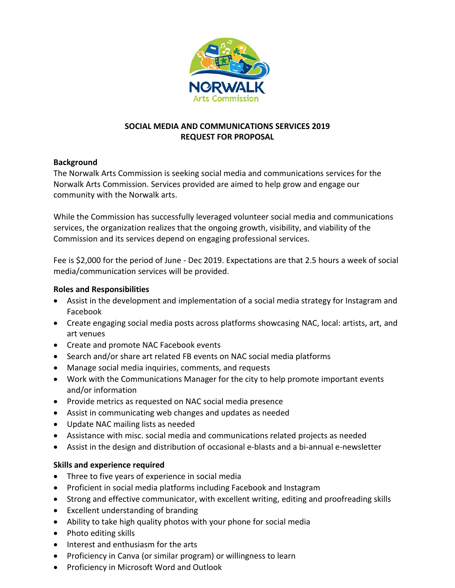

## **SOCIAL MEDIA AND COMMUNICATIONS SERVICES 2019 REQUEST FOR PROPOSAL**

#### **Background**

The Norwalk Arts Commission is seeking social media and communications services for the Norwalk Arts Commission. Services provided are aimed to help grow and engage our community with the Norwalk arts.

While the Commission has successfully leveraged volunteer social media and communications services, the organization realizes that the ongoing growth, visibility, and viability of the Commission and its services depend on engaging professional services.

Fee is \$2,000 for the period of June - Dec 2019. Expectations are that 2.5 hours a week of social media/communication services will be provided.

## **Roles and Responsibilities**

- Assist in the development and implementation of a social media strategy for Instagram and Facebook
- Create engaging social media posts across platforms showcasing NAC, local: artists, art, and art venues
- Create and promote NAC Facebook events
- Search and/or share art related FB events on NAC social media platforms
- Manage social media inquiries, comments, and requests
- Work with the Communications Manager for the city to help promote important events and/or information
- Provide metrics as requested on NAC social media presence
- Assist in communicating web changes and updates as needed
- Update NAC mailing lists as needed
- Assistance with misc. social media and communications related projects as needed
- Assist in the design and distribution of occasional e-blasts and a bi-annual e-newsletter

## **Skills and experience required**

- Three to five years of experience in social media
- Proficient in social media platforms including Facebook and Instagram
- Strong and effective communicator, with excellent writing, editing and proofreading skills
- Excellent understanding of branding
- Ability to take high quality photos with your phone for social media
- Photo editing skills
- Interest and enthusiasm for the arts
- Proficiency in Canva (or similar program) or willingness to learn
- Proficiency in Microsoft Word and Outlook